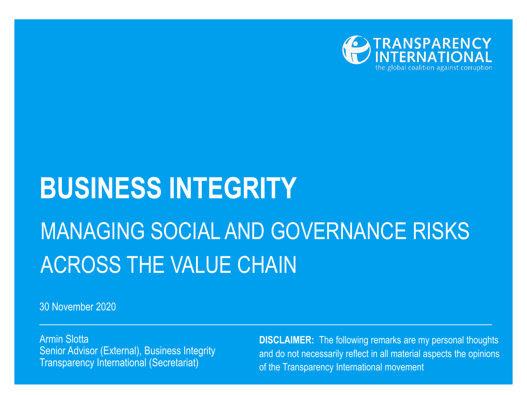

# **BUSINESS INTEGRITY** MANAGING SOCIAL AND GOVERNANCE RISKS ACROSS THE VALUE CHAIN

30 November 2020

Armin Slotta Senior Advisor (External), Business Integrity Transparency International (Secretariat)

**DISCLAIMER:** The following remarks are my personal thoughts and do not necessarily reflect in all material aspects the opinions of the Transparency International movement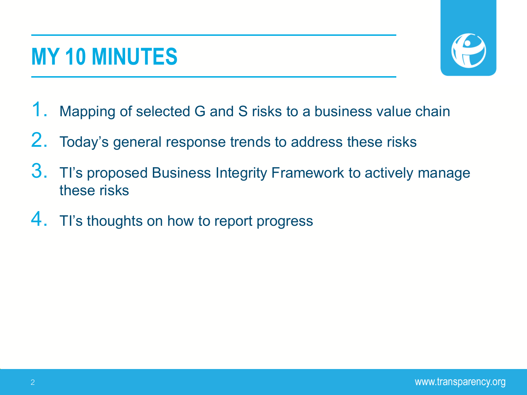## **MY 10 MINUTES**



- 1. Mapping of selected G and S risks to a business value chain
- 2. Today's general response trends to address these risks
- 3. TI's proposed Business Integrity Framework to actively manage these risks
- 4. This thoughts on how to report progress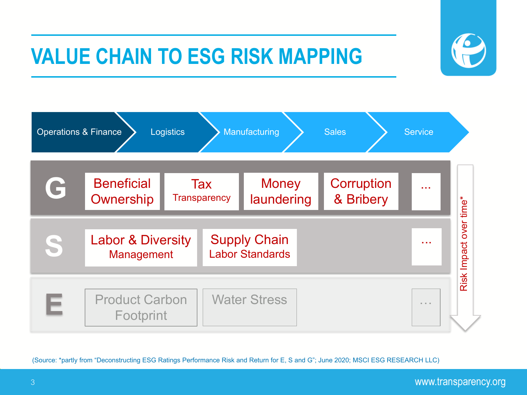### **VALUE CHAIN TO ESG RISK MAPPING**





(Source: \*partly from "Deconstructing ESG Ratings Performance Risk and Return for E, S and G"; June 2020; MSCI ESG RESEARCH LLC)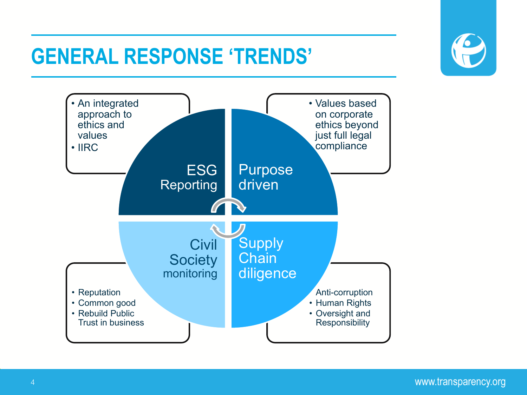### **GENERAL RESPONSE 'TRENDS'**





www.transparency.org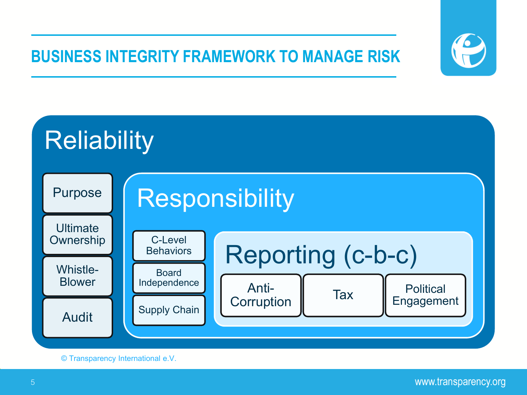#### **BUSINESS INTEGRITY FRAMEWORK TO MANAGE RISK**





© Transparency International e.V.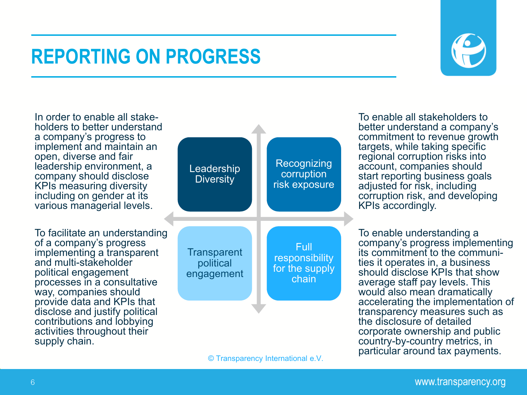#### **REPORTING ON PROGRESS**



In order to enable all stake- holders to better understand a company's progress to implement and maintain an open, diverse and fair leadership environment, a company should disclose KPIs measuring diversity including on gender at its various managerial levels.

To facilitate an understanding of a company's progress implementing a transparent and multi-stakeholder political engagement processes in a consultative way, companies should provide data and KPIs that disclose and justify political contributions and lobbying activities throughout their supply chain.



To enable all stakeholders to better understand a company's commitment to revenue growth targets, while taking specific regional corruption risks into account, companies should start reporting business goals adjusted for risk, including corruption risk, and developing KPIs accordingly.

To enable understanding a company's progress implementing<br>its commitment to the communities it operates in, a business should disclose KPIs that show average staff pay levels. This would also mean dramatically accelerating the implementation of transparency measures such as the disclosure of detailed corporate ownership and public country-by-country metrics, in particular around tax payments.